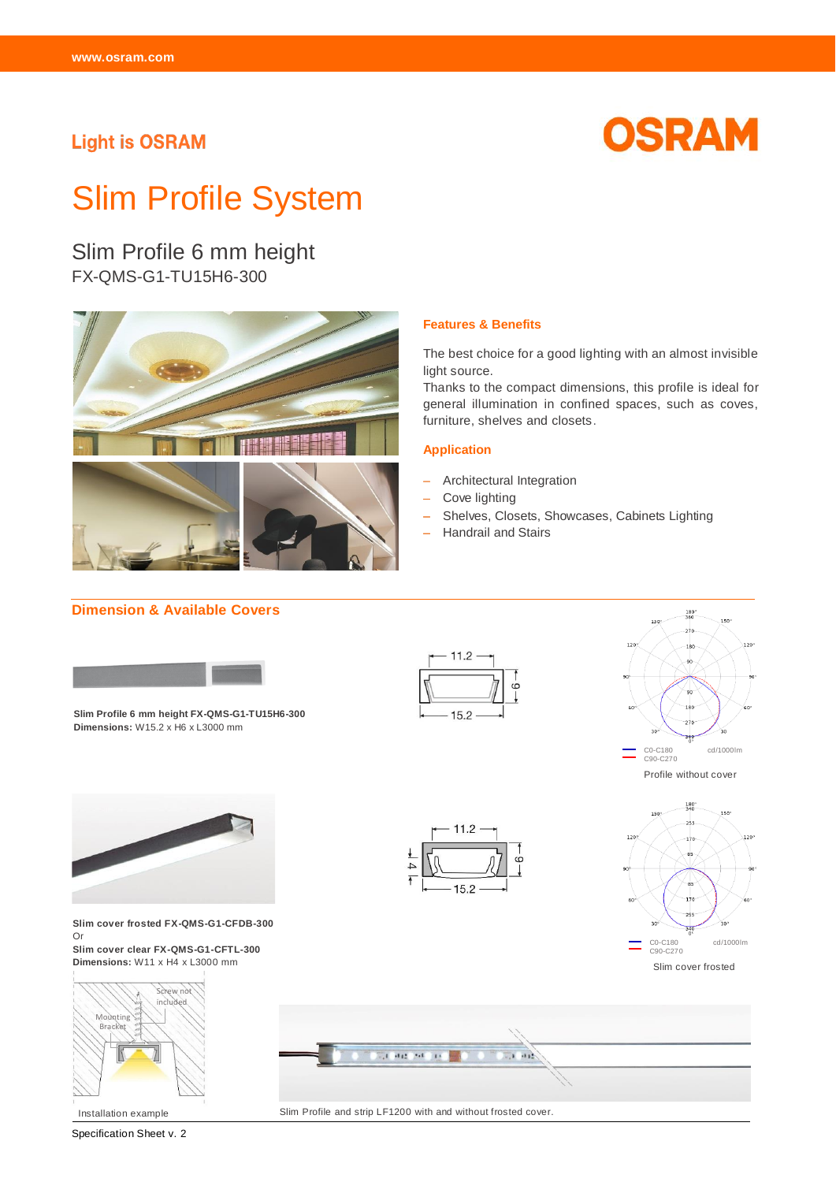## **Light is OSRAM**



# Slim Profile System

Slim Profile 6 mm height FX-QMS-G1-TU15H6-300



#### The best choice for a good lighting with an almost invisible

**Features & Benefits**

light source. Thanks to the compact dimensions, this profile is ideal for general illumination in confined spaces, such as coves,

#### **Application**

Architectural Integration

furniture, shelves and closets.

- Cove lighting
- Shelves, Closets, Showcases, Cabinets Lighting
- Handrail and Stairs

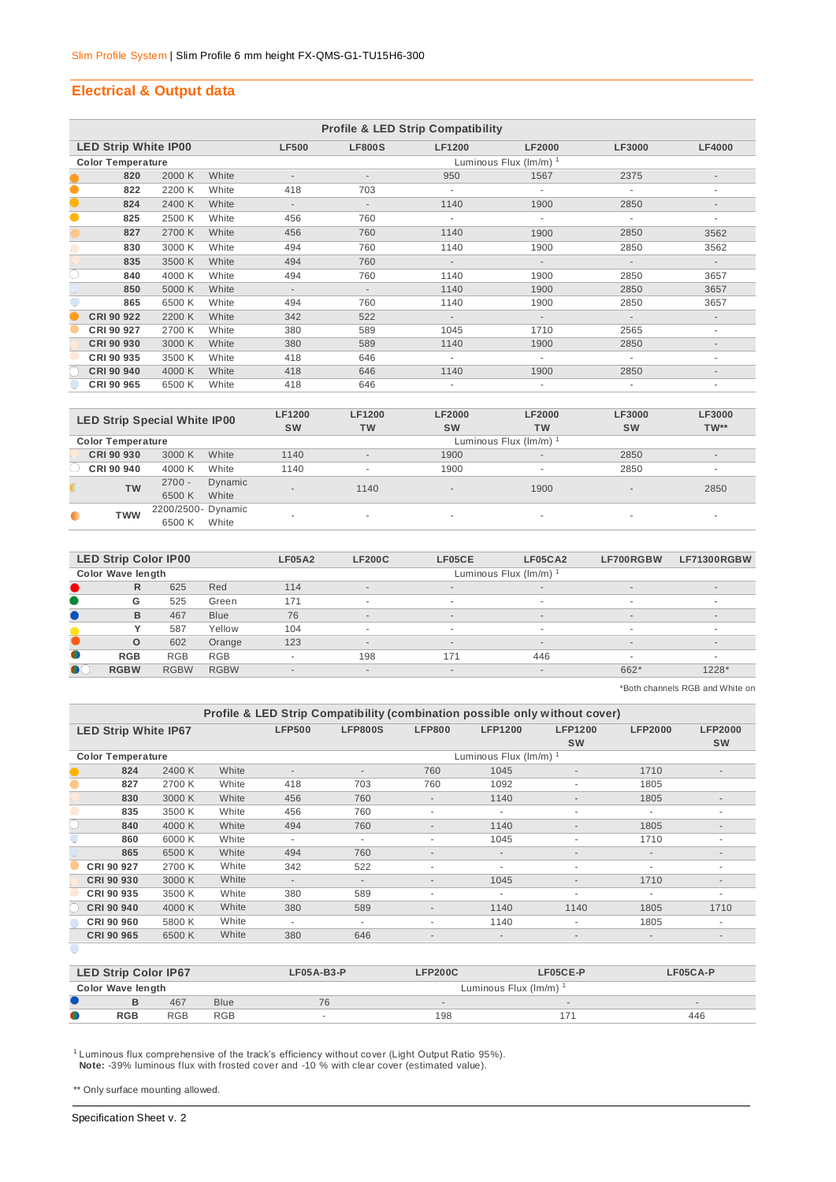## **Electrical & Output data**

|           | <b>Profile &amp; LED Strip Compatibility</b> |        |       |                          |                          |               |                             |                          |                          |  |  |  |
|-----------|----------------------------------------------|--------|-------|--------------------------|--------------------------|---------------|-----------------------------|--------------------------|--------------------------|--|--|--|
|           | <b>LED Strip White IP00</b>                  |        |       | <b>LF500</b>             | <b>LF800S</b>            | <b>LF1200</b> | <b>LF2000</b>               | LF3000                   | <b>LF4000</b>            |  |  |  |
|           | <b>Color Temperature</b>                     |        |       |                          |                          |               | Luminous Flux $(lm/m)^{-1}$ |                          |                          |  |  |  |
|           | 820                                          | 2000 K | White |                          | $\overline{\phantom{a}}$ | 950           | 1567                        | 2375                     | $\overline{\phantom{a}}$ |  |  |  |
| $\bullet$ | 822                                          | 2200 K | White | 418                      | 703                      |               |                             |                          | ٠                        |  |  |  |
| $\bullet$ | 824                                          | 2400 K | White | $\overline{\phantom{a}}$ | $\overline{\phantom{a}}$ | 1140          | 1900                        | 2850                     | $\overline{\phantom{a}}$ |  |  |  |
| $\bullet$ | 825                                          | 2500 K | White | 456                      | 760                      |               | ٠                           |                          | ٠                        |  |  |  |
|           | 827                                          | 2700 K | White | 456                      | 760                      | 1140          | 1900                        | 2850                     | 3562                     |  |  |  |
|           | 830                                          | 3000 K | White | 494                      | 760                      | 1140          | 1900                        | 2850                     | 3562                     |  |  |  |
|           | 835                                          | 3500 K | White | 494                      | 760                      | $\sim$        | $\sim$                      | $\sim$                   | $\sim$                   |  |  |  |
| C         | 840                                          | 4000 K | White | 494                      | 760                      | 1140          | 1900                        | 2850                     | 3657                     |  |  |  |
|           | 850                                          | 5000 K | White | $\sim$                   | $\overline{\phantom{a}}$ | 1140          | 1900                        | 2850                     | 3657                     |  |  |  |
|           | 865                                          | 6500 K | White | 494                      | 760                      | 1140          | 1900                        | 2850                     | 3657                     |  |  |  |
|           | CRI 90 922                                   | 2200 K | White | 342                      | 522                      | $\sim$        | $\sim$                      | $\overline{\phantom{a}}$ | $\sim$                   |  |  |  |
|           | CRI 90 927                                   | 2700 K | White | 380                      | 589                      | 1045          | 1710                        | 2565                     | ٠                        |  |  |  |
|           | CRI 90 930                                   | 3000 K | White | 380                      | 589                      | 1140          | 1900                        | 2850                     | $\overline{\phantom{a}}$ |  |  |  |
|           | CRI 90 935                                   | 3500 K | White | 418                      | 646                      |               | $\sim$                      | ٠                        | ۰                        |  |  |  |
|           | CRI 90 940                                   | 4000 K | White | 418                      | 646                      | 1140          | 1900                        | 2850                     | $\overline{\phantom{a}}$ |  |  |  |
|           | CRI 90 965                                   | 6500 K | White | 418                      | 646                      |               |                             |                          |                          |  |  |  |

|                          | <b>LED Strip Special White IP00</b> |                  | <b>LF1200</b><br><b>SW</b> | <b>LF1200</b><br><b>TW</b> | <b>LF2000</b><br><b>SW</b> | <b>LF2000</b><br>TW      | LF3000<br><b>SW</b> | LF3000<br>$TW**$         |
|--------------------------|-------------------------------------|------------------|----------------------------|----------------------------|----------------------------|--------------------------|---------------------|--------------------------|
| <b>Color Temperature</b> |                                     |                  |                            |                            |                            | Luminous Flux (Im/m) 1   |                     |                          |
| CRI 90 930               | 3000 K                              | White            | 1140                       | $\overline{a}$             | 1900                       | $\overline{\phantom{a}}$ | 2850                | $\overline{\phantom{a}}$ |
| CRI 90 940               | 4000 K                              | White            | 1140                       | $\overline{\phantom{a}}$   | 1900                       | $\overline{\phantom{a}}$ | 2850                | $\sim$                   |
| <b>TW</b>                | $2700 -$<br>6500 K                  | Dynamic<br>White | $\sim$                     | 1140                       | $\sim$                     | 1900                     | $\sim$              | 2850                     |
| <b>TWW</b>               | 2200/2500- Dynamic<br>6500 K        | White            | ۰                          | ٠                          | $\sim$                     | ۰                        | $\sim$              | ۰                        |

|           | <b>LED Strip Color IP00</b> |             |             | <b>LF05A2</b>            | <b>LF200C</b>            | <b>LF05CE</b> | LF05CA2                  | LF700RGBW | LF71300RGBW              |
|-----------|-----------------------------|-------------|-------------|--------------------------|--------------------------|---------------|--------------------------|-----------|--------------------------|
|           | <b>Color Wave length</b>    |             |             |                          |                          |               | Luminous Flux (Im/m)     |           |                          |
|           | R                           | 625         | Red         | 114                      | $\overline{a}$           | $\sim$        | $\overline{\phantom{a}}$ | $\sim$    | $\overline{\phantom{a}}$ |
|           | G                           | 525         | Green       | 171                      | $\sim$                   |               | $\sim$                   | $\sim$    | $\sim$                   |
|           | B                           | 467         | <b>Blue</b> | 76                       | $\overline{\phantom{a}}$ | $\sim$        | $\overline{\phantom{a}}$ | $\sim$    | $\overline{\phantom{a}}$ |
|           |                             | 587         | Yellow      | 104                      |                          |               | $\sim$                   | $\sim$    | $\overline{\phantom{a}}$ |
|           | $\Omega$                    | 602         | Orange      | 123                      | $\overline{\phantom{a}}$ | $\sim$        | $\overline{a}$           | $\sim$    | $\overline{\phantom{a}}$ |
| $\bullet$ | <b>RGB</b>                  | <b>RGB</b>  | <b>RGB</b>  | $\overline{\phantom{a}}$ | 198                      | 171           | 446                      | $\sim$    | ۰                        |
| $\bullet$ | <b>RGBW</b>                 | <b>RGBW</b> | <b>RGBW</b> | $\overline{\phantom{a}}$ | $\overline{\phantom{a}}$ | $\sim$        | $\overline{\phantom{a}}$ | 662*      | $1228*$                  |
|           |                             |             |             |                          |                          |               |                          |           |                          |

\*Both channels RGB and White on

|                             | Profile & LED Strip Compatibility (combination possible only without cover) |        |       |                          |                          |                          |                          |                             |                          |                             |  |  |
|-----------------------------|-----------------------------------------------------------------------------|--------|-------|--------------------------|--------------------------|--------------------------|--------------------------|-----------------------------|--------------------------|-----------------------------|--|--|
| <b>LED Strip White IP67</b> |                                                                             |        |       | <b>LFP500</b>            | <b>LFP800S</b>           | <b>LFP800</b>            | <b>LFP1200</b>           | <b>LFP1200</b><br><b>SW</b> | <b>LFP2000</b>           | <b>LFP2000</b><br><b>SW</b> |  |  |
| <b>Color Temperature</b>    |                                                                             |        |       |                          |                          |                          | Luminous Flux (Im/m)     |                             |                          |                             |  |  |
|                             | 824                                                                         | 2400 K | White | $\overline{\phantom{a}}$ | $\overline{\phantom{a}}$ | 760                      | 1045                     | $\overline{\phantom{a}}$    | 1710                     | $\overline{\phantom{a}}$    |  |  |
|                             | 827                                                                         | 2700 K | White | 418                      | 703                      | 760                      | 1092                     | $\overline{\phantom{a}}$    | 1805                     |                             |  |  |
|                             | 830                                                                         | 3000 K | White | 456                      | 760                      | $\overline{\phantom{a}}$ | 1140                     | $\overline{\phantom{a}}$    | 1805                     |                             |  |  |
|                             | 835                                                                         | 3500 K | White | 456                      | 760                      | $\overline{\phantom{a}}$ |                          | $\overline{\phantom{a}}$    | ۰                        |                             |  |  |
|                             | 840                                                                         | 4000 K | White | 494                      | 760                      | $\overline{\phantom{a}}$ | 1140                     | $\overline{\phantom{a}}$    | 1805                     |                             |  |  |
|                             | 860                                                                         | 6000 K | White | ٠                        | ٠                        | $\overline{\phantom{a}}$ | 1045                     | ٠                           | 1710                     | ٠                           |  |  |
|                             | 865                                                                         | 6500 K | White | 494                      | 760                      | $\overline{\phantom{a}}$ | $\overline{\phantom{a}}$ | $\overline{\phantom{a}}$    | $\overline{\phantom{a}}$ | $\overline{\phantom{a}}$    |  |  |
|                             | CRI 90 927                                                                  | 2700 K | White | 342                      | 522                      | $\overline{\phantom{a}}$ | $\overline{\phantom{a}}$ | $\overline{\phantom{a}}$    | $\overline{\phantom{a}}$ | $\overline{\phantom{a}}$    |  |  |
|                             | CRI 90 930                                                                  | 3000 K | White | $\overline{\phantom{a}}$ | ٠                        | $\overline{\phantom{a}}$ | 1045                     | $\overline{\phantom{a}}$    | 1710                     | $\overline{\phantom{a}}$    |  |  |
|                             | CRI 90 935                                                                  | 3500 K | White | 380                      | 589                      | $\overline{\phantom{a}}$ | $\overline{\phantom{a}}$ | ٠                           |                          | ۰                           |  |  |
|                             | CRI 90 940                                                                  | 4000 K | White | 380                      | 589                      | $\overline{\phantom{a}}$ | 1140                     | 1140                        | 1805                     | 1710                        |  |  |
|                             | CRI 90 960                                                                  | 5800 K | White | ٠                        | ٠                        | ۰                        | 1140                     | ٠                           | 1805                     | ۰                           |  |  |
|                             | CRI 90 965                                                                  | 6500 K | White | 380                      | 646                      | $\overline{\phantom{a}}$ | $\overline{\phantom{a}}$ | $\overline{\phantom{a}}$    | $\overline{\phantom{a}}$ | $\overline{\phantom{a}}$    |  |  |

|   | <b>LED Strip Color IP67</b> |            |             | <b>LFP200C</b><br>$LFO5A-B3-P$ |                          | LF05CE-P             | LF05CA-P                 |
|---|-----------------------------|------------|-------------|--------------------------------|--------------------------|----------------------|--------------------------|
|   | <b>Color Wave length</b>    |            |             |                                |                          | Luminous Flux (Im/m) |                          |
|   |                             | 467        | <b>Blue</b> | 76                             | $\overline{\phantom{a}}$ | $\sim$               | $\overline{\phantom{a}}$ |
| 0 | <b>RGB</b>                  | <b>RGB</b> | <b>RGB</b>  | <b>.</b>                       | 198                      |                      | 446                      |

 $^1$  Luminous flux comprehensive of the track's efficiency without cover (Light Output Ratio 95%).  **Note:** -39% luminous flux with frosted cover and -10 % with clear cover (estimated value).

\*\* Only surface mounting allowed.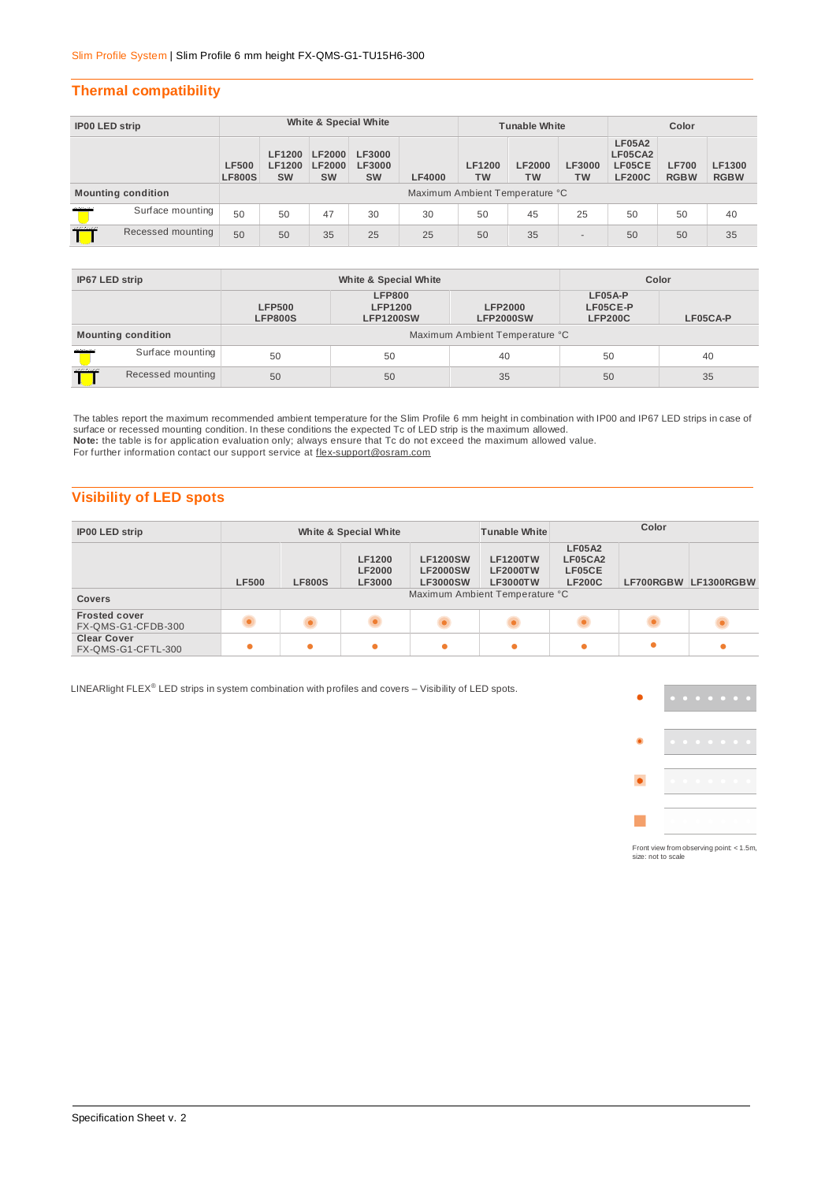## **Thermal compatibility**

| <b>IP00 LED strip</b> |                           | White & Special White         |                                             |                                             |                                             |                                | <b>Tunable White</b>       |                            |                            | Color                                               |                             |                       |
|-----------------------|---------------------------|-------------------------------|---------------------------------------------|---------------------------------------------|---------------------------------------------|--------------------------------|----------------------------|----------------------------|----------------------------|-----------------------------------------------------|-----------------------------|-----------------------|
|                       |                           | <b>LF500</b><br><b>LF800S</b> | <b>LF1200</b><br><b>LF1200</b><br><b>SW</b> | <b>LF2000</b><br><b>LF2000</b><br><b>SW</b> | <b>LF3000</b><br><b>LF3000</b><br><b>SW</b> | <b>LF4000</b>                  | <b>LF1200</b><br><b>TW</b> | <b>LF2000</b><br><b>TW</b> | <b>LF3000</b><br><b>TW</b> | <b>LF05A2</b><br>LF05CA2<br>LF05CE<br><b>LF200C</b> | <b>LF700</b><br><b>RGBW</b> | LF1300<br><b>RGBW</b> |
|                       | <b>Mounting condition</b> |                               |                                             |                                             |                                             | Maximum Ambient Temperature °C |                            |                            |                            |                                                     |                             |                       |
| maria                 | Surface mounting          | 50                            | 50                                          | 47                                          | 30                                          | 30                             | 50                         | 45                         | 25                         | 50                                                  | 50                          | 40                    |
| man                   | Recessed mounting         | 50                            | 50                                          | 35                                          | 25                                          | 25                             | 50                         | 35                         | $\overline{\phantom{a}}$   | 50                                                  | 50                          | 35                    |

| IP67 LED strip            |                           |                                 | White & Special White                                                                     | Color |                                                   |    |  |
|---------------------------|---------------------------|---------------------------------|-------------------------------------------------------------------------------------------|-------|---------------------------------------------------|----|--|
|                           |                           | <b>LFP500</b><br><b>LFP800S</b> | <b>LFP800</b><br><b>LFP1200</b><br><b>LFP2000</b><br><b>LFP1200SW</b><br><b>LFP2000SW</b> |       | LF05A-P<br>LF05CE-P<br><b>LFP200C</b><br>LF05CA-P |    |  |
|                           | <b>Mounting condition</b> | Maximum Ambient Temperature °C  |                                                                                           |       |                                                   |    |  |
| <b><i>Alternative</i></b> | Surface mounting          | 50                              | 50                                                                                        | 40    | 50                                                | 40 |  |
| mann<br>Recessed mounting |                           | 50                              | 50                                                                                        | 35    | 50                                                | 35 |  |

The tables report the maximum recommended ambient temperature for the Slim Profile 6 mm height in combination with IP00 and IP67 LED strips in case of<br>surface or recessed mounting condition. In these conditions the expecte **Note:** the table is for application evaluation only; always ensure that Tc do not exceed the maximum allowed value. For further information contact our support service at flex-support@osram.com

## **Visibility of LED spots**

| <b>IP00 LED strip</b>                      | White & Special White |               |                                                 |                                                       | <b>Tunable White</b>                                                                    | Color                                               |  |                      |
|--------------------------------------------|-----------------------|---------------|-------------------------------------------------|-------------------------------------------------------|-----------------------------------------------------------------------------------------|-----------------------------------------------------|--|----------------------|
|                                            | <b>LF500</b>          | <b>LF800S</b> | <b>LF1200</b><br><b>LF2000</b><br><b>LF3000</b> | <b>LF1200SW</b><br><b>LF2000SW</b><br><b>LF3000SW</b> | <b>LF1200TW</b><br><b>LF2000TW</b><br><b>LF3000TW</b><br>Maximum Ambient Temperature °C | <b>LF05A2</b><br>LF05CA2<br>LF05CE<br><b>LF200C</b> |  | LF700RGBW LF1300RGBW |
| <b>Covers</b>                              |                       |               |                                                 |                                                       |                                                                                         |                                                     |  |                      |
| <b>Frosted cover</b><br>FX-QMS-G1-CFDB-300 |                       |               |                                                 |                                                       |                                                                                         |                                                     |  |                      |
| <b>Clear Cover</b><br>FX-QMS-G1-CFTL-300   |                       |               | ٠                                               | $\bullet$                                             |                                                                                         |                                                     |  |                      |

LINEARlight FLEX® LED strips in system combination with profiles and covers - Visibility of LED spots.



Front view from observing point: < 1.5m, size: not to scale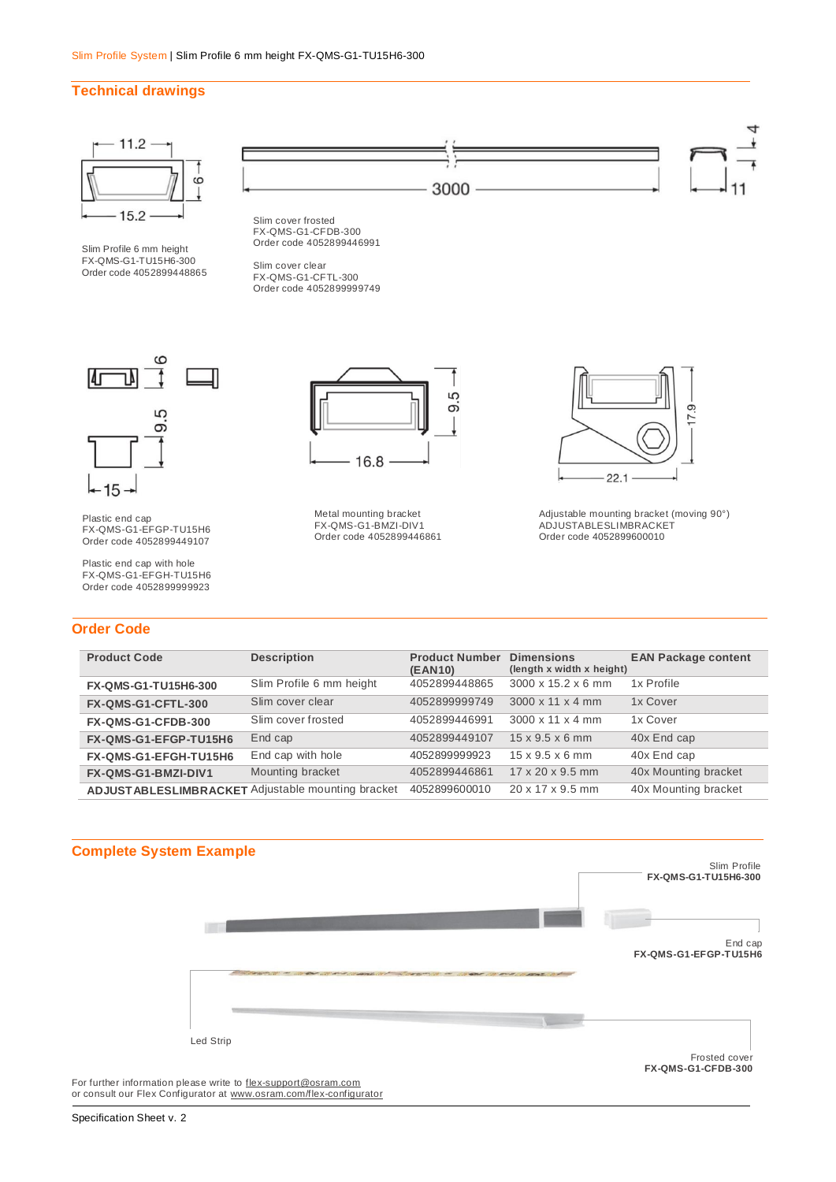## **Technical drawings**



Slim Profile 6 mm height FX-QMS-G1-TU15H6-300 Order code 4052899448865



Slim cover frosted FX-QMS-G1-CFDB-300 Order code 4052899446991

Slim cover clear FX-QMS-G1-CFTL-300 Order code 4052899999749



Plastic end cap FX-QMS-G1-EFGP-TU15H6 Order code 4052899449107

Plastic end cap with hole FX-QMS-G1-EFGH-TU15H6 Order code 4052899999923

## **Order Code**



Metal mounting bracket FX-QMS-G1-BMZI-DIV1 Order code 4052899446861



Adjustable mounting bracket (moving 90°) ADJUSTABLESLIMBRACKET Order code 4052899600010

| <b>Product Code</b>   | <b>Description</b>                                 | <b>Product Number</b><br>(EAN10) | <b>Dimensions</b><br>(length x width x height) | <b>EAN Package content</b> |
|-----------------------|----------------------------------------------------|----------------------------------|------------------------------------------------|----------------------------|
| FX-QMS-G1-TU15H6-300  | Slim Profile 6 mm height                           | 4052899448865                    | 3000 x 15.2 x 6 mm                             | 1x Profile                 |
| FX-QMS-G1-CFTL-300    | Slim cover clear                                   | 4052899999749                    | $3000 \times 11 \times 4$ mm                   | 1x Cover                   |
| FX-QMS-G1-CFDB-300    | Slim cover frosted                                 | 4052899446991                    | $3000 \times 11 \times 4$ mm                   | 1x Cover                   |
| FX-QMS-G1-EFGP-TU15H6 | End cap                                            | 4052899449107                    | $15 \times 9.5 \times 6$ mm                    | 40x End cap                |
| FX-QMS-G1-EFGH-TU15H6 | End cap with hole                                  | 4052899999923                    | $15 \times 9.5 \times 6$ mm                    | 40x End cap                |
| FX-QMS-G1-BMZI-DIV1   | Mounting bracket                                   | 4052899446861                    | $17 \times 20 \times 9.5$ mm                   | 40x Mounting bracket       |
|                       | ADJUST ABLESLIMBRACKET Adjustable mounting bracket | 4052899600010                    | $20 \times 17 \times 9.5$ mm                   | 40x Mounting bracket       |



For further information please write to [flex-support@osram.com](mailto:flex-support@osram.com) or consult our Flex Configurator at [www.osram.com/flex-configurator](http://www.osram.com/flex-configurator)